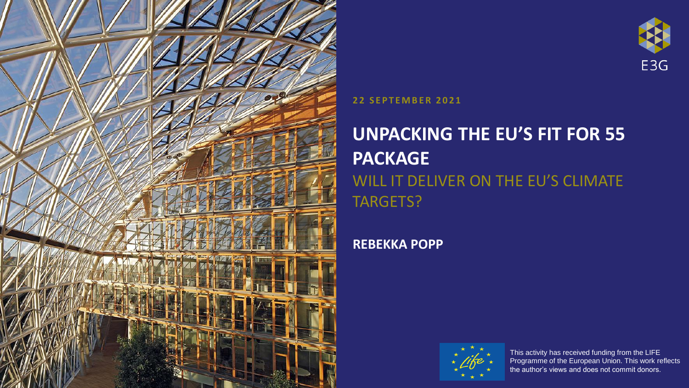

#### **22 S E P T E M B E R 2021**

## **UNPACKING THE EU'S FIT FOR 55 PACKAGE** WILL IT DELIVER ON THE EU'S CLIMATE TARGETS?

#### **REBEKKA POPP**



This activity has received funding from the LIFE Programme of the European Union. This work reflects the author's views and does not commit donors.

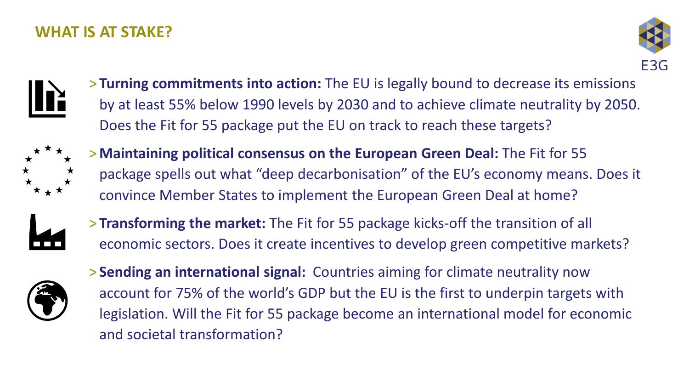#### **WHAT IS AT STAKE?**





> **Turning commitments into action:** The EU is legally bound to decrease its emissions by at least 55% below 1990 levels by 2030 and to achieve climate neutrality by 2050. Does the Fit for 55 package put the EU on track to reach these targets?



> **Maintaining political consensus on the European Green Deal:** The Fit for 55 package spells out what "deep decarbonisation" of the EU's economy means. Does it convince Member States to implement the European Green Deal at home?



> **Transforming the market:** The Fit for 55 package kicks-off the transition of all economic sectors. Does it create incentives to develop green competitive markets?



> **Sending an international signal:** Countries aiming for climate neutrality now account for 75% of the world's GDP but the EU is the first to underpin targets with legislation. Will the Fit for 55 package become an international model for economic and societal transformation?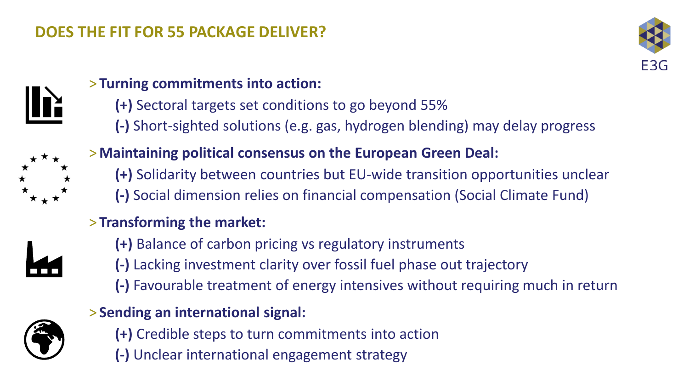### **DOES THE FIT FOR 55 PACKAGE DELIVER?**





#### > **Turning commitments into action:**

**(+)** Sectoral targets set conditions to go beyond 55% **(-)** Short-sighted solutions (e.g. gas, hydrogen blending) may delay progress



### > **Maintaining political consensus on the European Green Deal:**

- **(+)** Solidarity between countries but EU-wide transition opportunities unclear
- **(-)** Social dimension relies on financial compensation (Social Climate Fund)

#### > **Transforming the market:**



- **(+)** Balance of carbon pricing vs regulatory instruments
- **(-)** Lacking investment clarity over fossil fuel phase out trajectory
- **(-)** Favourable treatment of energy intensives without requiring much in return

#### > **Sending an international signal:**



- **(+)** Credible steps to turn commitments into action
- **(-)** Unclear international engagement strategy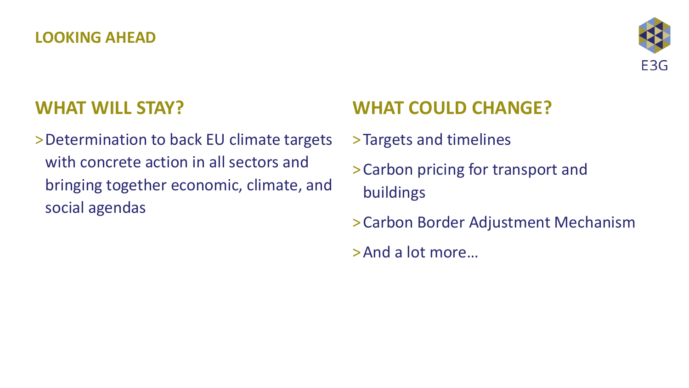#### **LOOKING AHEAD**



## **WHAT WILL STAY?**

>Determination to back EU climate targets with concrete action in all sectors and bringing together economic, climate, and social agendas

# **WHAT COULD CHANGE?**

- >Targets and timelines
- >Carbon pricing for transport and buildings
- >Carbon Border Adjustment Mechanism
- >And a lot more…